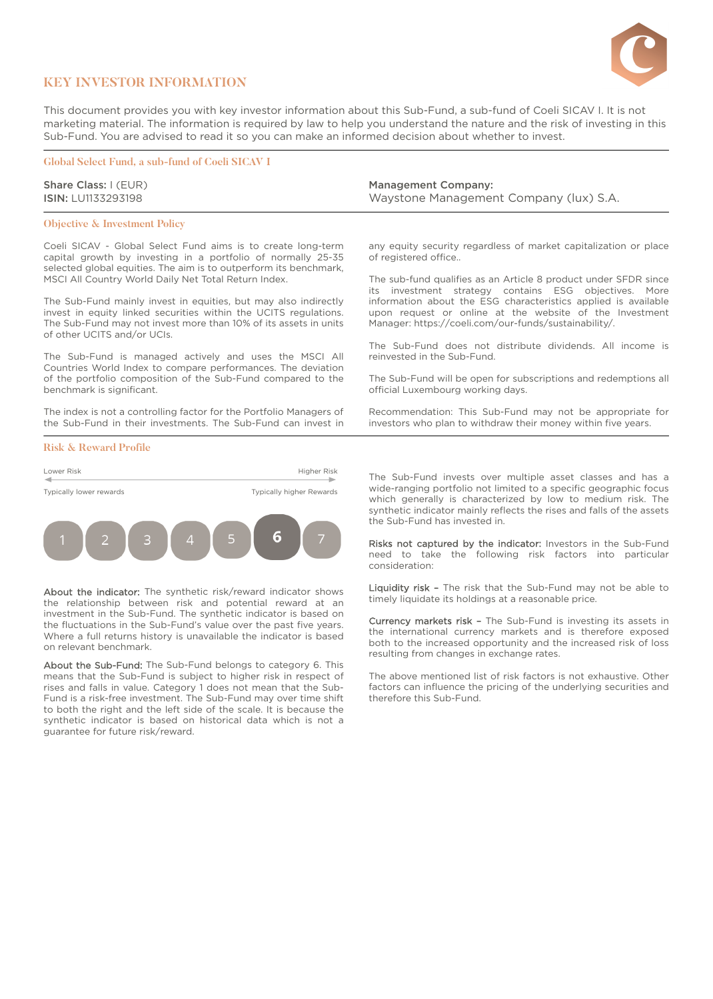

## **KEY INVESTOR INFORMATION**

This document provides you with key investor information about this Sub-Fund, a sub-fund of Coeli SICAV I. It is not marketing material. The information is required by law to help you understand the nature and the risk of investing in this Sub-Fund. You are advised to read it so you can make an informed decision about whether to invest.

### **Global Select Fund, a sub-fund of Coeli SICAV I**

Share Class: I (EUR) ISIN: LU1133293198

#### **Objective & Investment Policy**

Coeli SICAV - Global Select Fund aims is to create long-term capital growth by investing in a portfolio of normally 25-35 selected global equities. The aim is to outperform its benchmark, MSCI All Country World Daily Net Total Return Index.

The Sub-Fund mainly invest in equities, but may also indirectly invest in equity linked securities within the UCITS regulations. The Sub-Fund may not invest more than 10% of its assets in units of other UCITS and/or UCIs.

The Sub-Fund is managed actively and uses the MSCI All Countries World Index to compare performances. The deviation of the portfolio composition of the Sub-Fund compared to the benchmark is significant.

The index is not a controlling factor for the Portfolio Managers of the Sub-Fund in their investments. The Sub-Fund can invest in

### **Risk & Reward Profile**



About the indicator: The synthetic risk/reward indicator shows the relationship between risk and potential reward at an investment in the Sub-Fund. The synthetic indicator is based on the fluctuations in the Sub-Fund's value over the past five years. Where a full returns history is unavailable the indicator is based on relevant benchmark.

About the Sub-Fund: The Sub-Fund belongs to category 6. This means that the Sub-Fund is subject to higher risk in respect of rises and falls in value. Category 1 does not mean that the Sub-Fund is a risk-free investment. The Sub-Fund may over time shift to both the right and the left side of the scale. It is because the synthetic indicator is based on historical data which is not a guarantee for future risk/reward.

Management Company: Waystone Management Company (lux) S.A.

any equity security regardless of market capitalization or place of registered office..

The sub-fund qualifies as an Article 8 product under SFDR since its investment strategy contains ESG objectives. More information about the ESG characteristics applied is available upon request or online at the website of the Investment Manager: [https://coeli.com/our-funds/sustainability/.](https://coeli.com/our-funds/sustainability/)

The Sub-Fund does not distribute dividends. All income is reinvested in the Sub-Fund.

The Sub-Fund will be open for subscriptions and redemptions all official Luxembourg working days.

Recommendation: This Sub-Fund may not be appropriate for investors who plan to withdraw their money within five years.

The Sub-Fund invests over multiple asset classes and has a wide-ranging portfolio not limited to a specific geographic focus which generally is characterized by low to medium risk. The synthetic indicator mainly reflects the rises and falls of the assets the Sub-Fund has invested in.

Risks not captured by the indicator: Investors in the Sub-Fund need to take the following risk factors into particular consideration:

Liquidity risk - The risk that the Sub-Fund may not be able to timely liquidate its holdings at a reasonable price.

Currency markets risk – The Sub-Fund is investing its assets in the international currency markets and is therefore exposed both to the increased opportunity and the increased risk of loss resulting from changes in exchange rates.

The above mentioned list of risk factors is not exhaustive. Other factors can influence the pricing of the underlying securities and therefore this Sub-Fund.